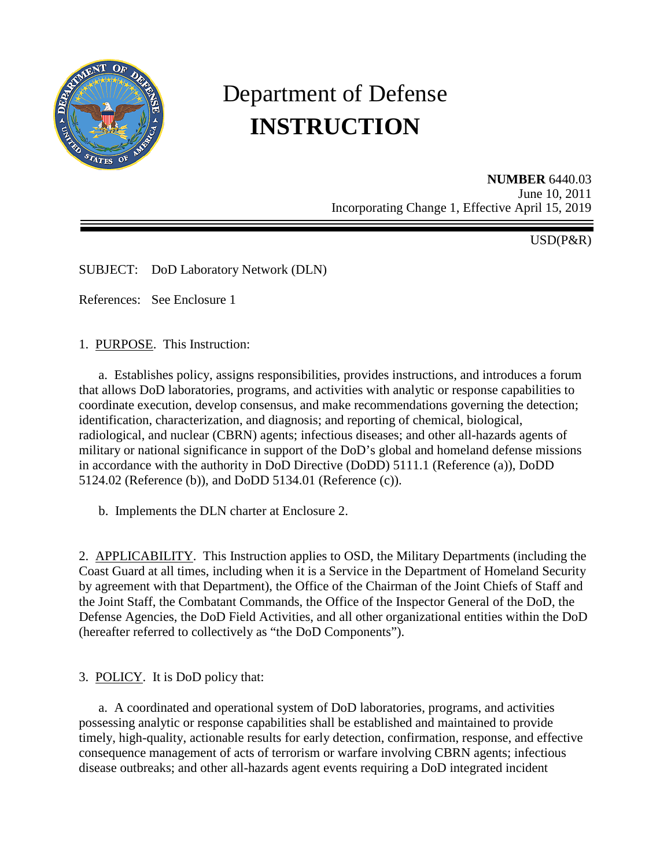

# Department of Defense **INSTRUCTION**

**NUMBER** 6440.03 June 10, 2011 Incorporating Change 1, Effective April 15, 2019

USD(P&R)

SUBJECT: DoD Laboratory Network (DLN)

References: See Enclosure 1

1. PURPOSE. This Instruction:

 a. Establishes policy, assigns responsibilities, provides instructions, and introduces a forum that allows DoD laboratories, programs, and activities with analytic or response capabilities to coordinate execution, develop consensus, and make recommendations governing the detection; identification, characterization, and diagnosis; and reporting of chemical, biological, radiological, and nuclear (CBRN) agents; infectious diseases; and other all-hazards agents of military or national significance in support of the DoD's global and homeland defense missions in accordance with the authority in DoD Directive (DoDD) 5111.1 (Reference (a)), DoDD 5124.02 (Reference (b)), and DoDD 5134.01 (Reference (c)).

b. Implements the DLN charter at Enclosure 2.

2. APPLICABILITY. This Instruction applies to OSD, the Military Departments (including the Coast Guard at all times, including when it is a Service in the Department of Homeland Security by agreement with that Department), the Office of the Chairman of the Joint Chiefs of Staff and the Joint Staff, the Combatant Commands, the Office of the Inspector General of the DoD, the Defense Agencies, the DoD Field Activities, and all other organizational entities within the DoD (hereafter referred to collectively as "the DoD Components").

3. POLICY. It is DoD policy that:

 a. A coordinated and operational system of DoD laboratories, programs, and activities possessing analytic or response capabilities shall be established and maintained to provide timely, high-quality, actionable results for early detection, confirmation, response, and effective consequence management of acts of terrorism or warfare involving CBRN agents; infectious disease outbreaks; and other all-hazards agent events requiring a DoD integrated incident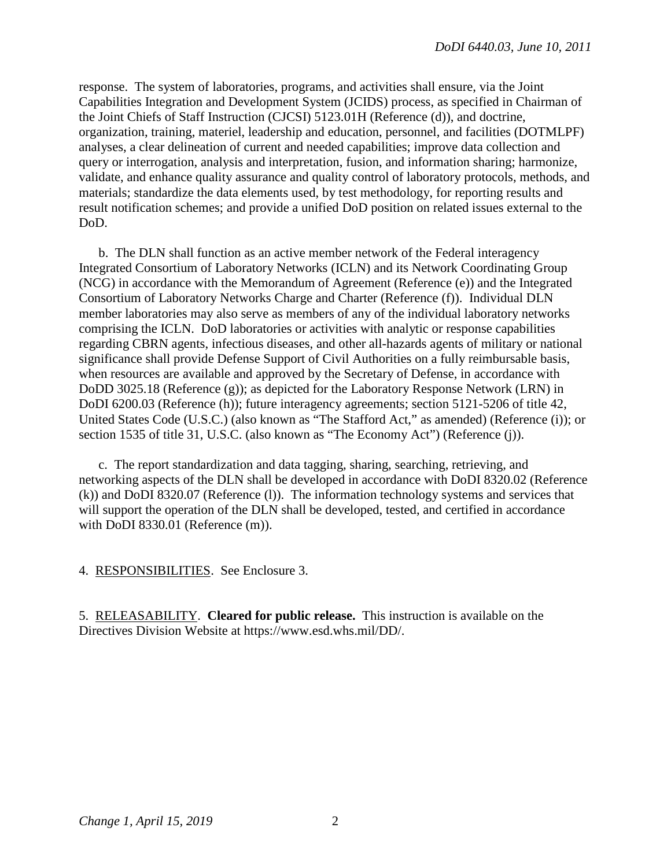response. The system of laboratories, programs, and activities shall ensure, via the Joint Capabilities Integration and Development System (JCIDS) process, as specified in Chairman of the Joint Chiefs of Staff Instruction (CJCSI) 5123.01H (Reference (d)), and doctrine, organization, training, materiel, leadership and education, personnel, and facilities (DOTMLPF) analyses, a clear delineation of current and needed capabilities; improve data collection and query or interrogation, analysis and interpretation, fusion, and information sharing; harmonize, validate, and enhance quality assurance and quality control of laboratory protocols, methods, and materials; standardize the data elements used, by test methodology, for reporting results and result notification schemes; and provide a unified DoD position on related issues external to the DoD.

 b. The DLN shall function as an active member network of the Federal interagency Integrated Consortium of Laboratory Networks (ICLN) and its Network Coordinating Group (NCG) in accordance with the Memorandum of Agreement (Reference (e)) and the Integrated Consortium of Laboratory Networks Charge and Charter (Reference (f)). Individual DLN member laboratories may also serve as members of any of the individual laboratory networks comprising the ICLN. DoD laboratories or activities with analytic or response capabilities regarding CBRN agents, infectious diseases, and other all-hazards agents of military or national significance shall provide Defense Support of Civil Authorities on a fully reimbursable basis, when resources are available and approved by the Secretary of Defense, in accordance with DoDD 3025.18 (Reference (g)); as depicted for the Laboratory Response Network (LRN) in DoDI 6200.03 (Reference (h)); future interagency agreements; section 5121-5206 of title 42, United States Code (U.S.C.) (also known as "The Stafford Act," as amended) (Reference (i)); or section 1535 of title 31, U.S.C. (also known as "The Economy Act") (Reference (j)).

 c. The report standardization and data tagging, sharing, searching, retrieving, and networking aspects of the DLN shall be developed in accordance with DoDI 8320.02 (Reference (k)) and DoDI 8320.07 (Reference (l)). The information technology systems and services that will support the operation of the DLN shall be developed, tested, and certified in accordance with DoDI 8330.01 (Reference (m)).

4. RESPONSIBILITIES. See Enclosure 3.

5. RELEASABILITY. **Cleared for public release.** This instruction is available on the Directives Division Website at https://www.esd.whs.mil/DD/.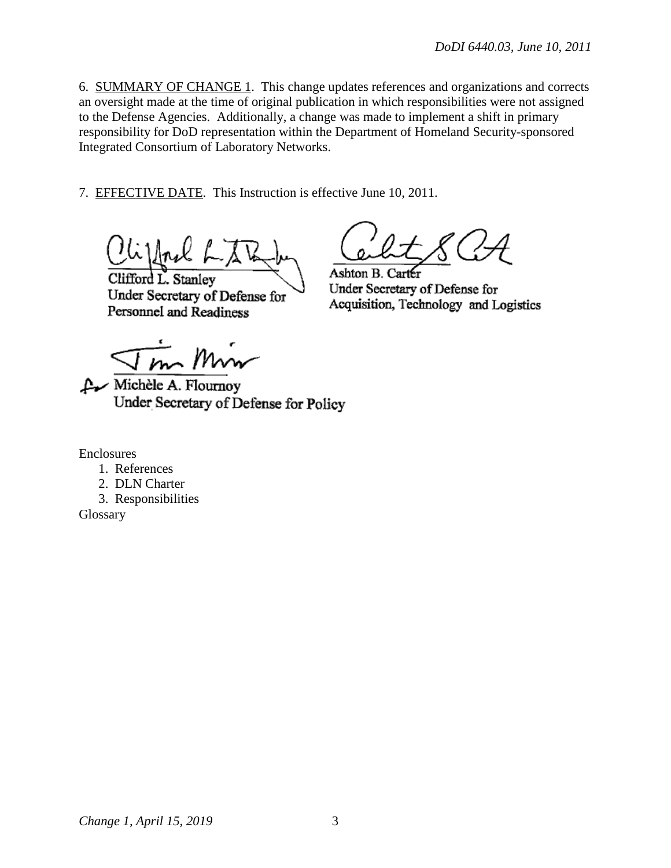6. SUMMARY OF CHANGE 1. This change updates references and organizations and corrects an oversight made at the time of original publication in which responsibilities were not assigned to the Defense Agencies. Additionally, a change was made to implement a shift in primary responsibility for DoD representation within the Department of Homeland Security-sponsored Integrated Consortium of Laboratory Networks.

7. EFFECTIVE DATE. This Instruction is effective June 10, 2011.

Clifford L. Stanley Under Secretary of Defense for Personnel and Readiness

Ashton B. Carter Under Secretary of Defense for Acquisition, Technology and Logistics

 $\frac{1}{m}$  Min

Michèle A. Flournoy Under Secretary of Defense for Policy

Enclosures

- 1. References
- 2. DLN Charter
- 3. Responsibilities

Glossary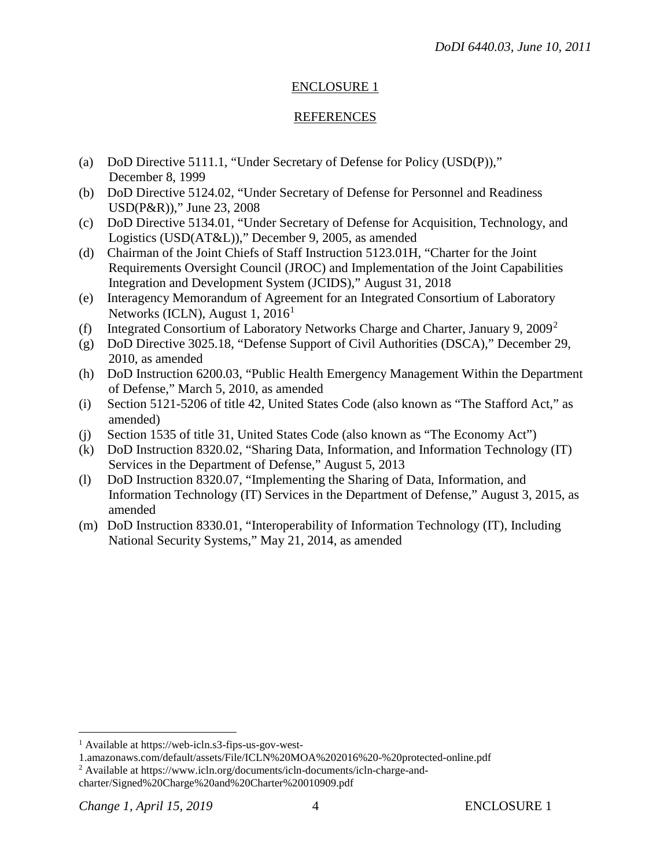# ENCLOSURE 1

# REFERENCES

- (a) DoD Directive 5111.1, "Under Secretary of Defense for Policy (USD(P))," December 8, 1999
- (b) DoD Directive 5124.02, "Under Secretary of Defense for Personnel and Readiness USD(P&R))," June 23, 2008
- (c) DoD Directive 5134.01, "Under Secretary of Defense for Acquisition, Technology, and Logistics (USD(AT&L))," December 9, 2005, as amended
- (d) Chairman of the Joint Chiefs of Staff Instruction 5123.01H, "Charter for the Joint Requirements Oversight Council (JROC) and Implementation of the Joint Capabilities Integration and Development System (JCIDS)," August 31, 2018
- (e) Interagency Memorandum of Agreement for an Integrated Consortium of Laboratory Networks (ICLN), August [1](#page-3-0), 2016<sup>1</sup>
- (f) Integrated Consortium of Laboratory Networks Charge and Charter, January 9, [2](#page-3-1)009<sup>2</sup>
- (g) DoD Directive 3025.18, "Defense Support of Civil Authorities (DSCA)," December 29, 2010, as amended
- (h) DoD Instruction 6200.03, "Public Health Emergency Management Within the Department of Defense," March 5, 2010, as amended
- (i) Section 5121-5206 of title 42, United States Code (also known as "The Stafford Act," as amended)
- (j) Section 1535 of title 31, United States Code (also known as "The Economy Act")
- (k) DoD Instruction 8320.02, "Sharing Data, Information, and Information Technology (IT) Services in the Department of Defense," August 5, 2013
- (l) DoD Instruction 8320.07, "Implementing the Sharing of Data, Information, and Information Technology (IT) Services in the Department of Defense," August 3, 2015, as amended
- (m) DoD Instruction 8330.01, "Interoperability of Information Technology (IT), Including National Security Systems," May 21, 2014, as amended

 $\overline{a}$ 

<span id="page-3-0"></span><sup>1</sup> Available at https://web-icln.s3-fips-us-gov-west-

<sup>1.</sup>amazonaws.com/default/assets/File/ICLN%20MOA%202016%20-%20protected-online.pdf

<span id="page-3-1"></span><sup>2</sup> Available at https://www.icln.org/documents/icln-documents/icln-charge-and-

charter/Signed%20Charge%20and%20Charter%20010909.pdf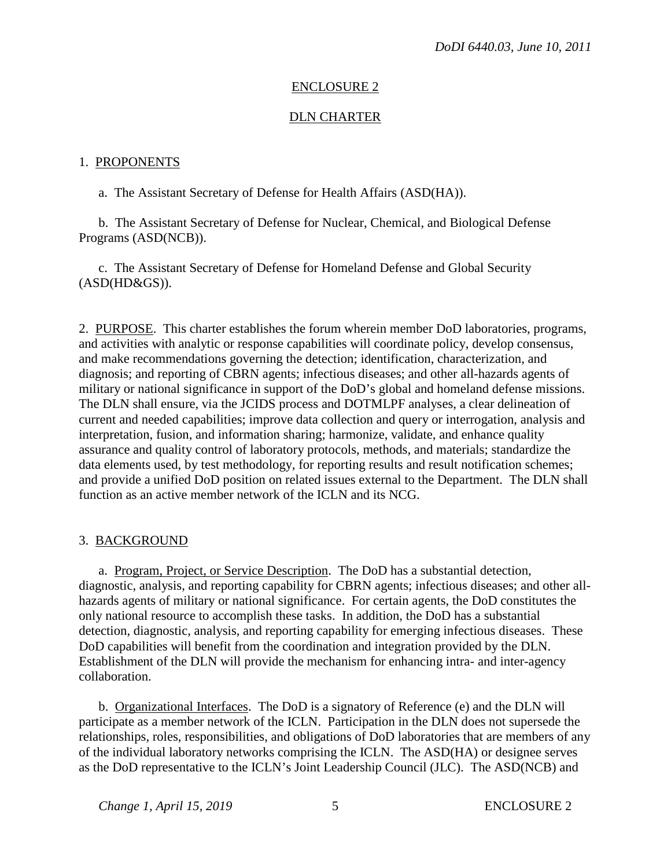## ENCLOSURE 2

## DLN CHARTER

#### 1. PROPONENTS

a. The Assistant Secretary of Defense for Health Affairs (ASD(HA)).

 b. The Assistant Secretary of Defense for Nuclear, Chemical, and Biological Defense Programs (ASD(NCB)).

c. The Assistant Secretary of Defense for Homeland Defense and Global Security (ASD(HD&GS)).

2. PURPOSE. This charter establishes the forum wherein member DoD laboratories, programs, and activities with analytic or response capabilities will coordinate policy, develop consensus, and make recommendations governing the detection; identification, characterization, and diagnosis; and reporting of CBRN agents; infectious diseases; and other all-hazards agents of military or national significance in support of the DoD's global and homeland defense missions. The DLN shall ensure, via the JCIDS process and DOTMLPF analyses, a clear delineation of current and needed capabilities; improve data collection and query or interrogation, analysis and interpretation, fusion, and information sharing; harmonize, validate, and enhance quality assurance and quality control of laboratory protocols, methods, and materials; standardize the data elements used, by test methodology, for reporting results and result notification schemes; and provide a unified DoD position on related issues external to the Department. The DLN shall function as an active member network of the ICLN and its NCG.

#### 3. BACKGROUND

a. Program, Project, or Service Description. The DoD has a substantial detection, diagnostic, analysis, and reporting capability for CBRN agents; infectious diseases; and other allhazards agents of military or national significance. For certain agents, the DoD constitutes the only national resource to accomplish these tasks. In addition, the DoD has a substantial detection, diagnostic, analysis, and reporting capability for emerging infectious diseases. These DoD capabilities will benefit from the coordination and integration provided by the DLN. Establishment of the DLN will provide the mechanism for enhancing intra- and inter-agency collaboration.

 b. Organizational Interfaces. The DoD is a signatory of Reference (e) and the DLN will participate as a member network of the ICLN. Participation in the DLN does not supersede the relationships, roles, responsibilities, and obligations of DoD laboratories that are members of any of the individual laboratory networks comprising the ICLN. The ASD(HA) or designee serves as the DoD representative to the ICLN's Joint Leadership Council (JLC). The ASD(NCB) and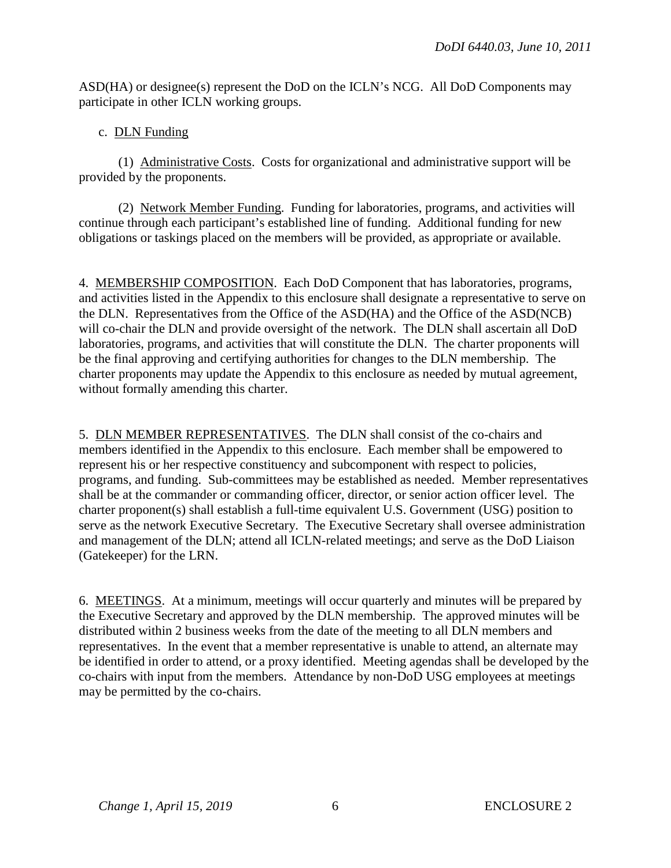ASD(HA) or designee(s) represent the DoD on the ICLN's NCG. All DoD Components may participate in other ICLN working groups.

# c. DLN Funding

 (1) Administrative Costs. Costs for organizational and administrative support will be provided by the proponents.

 (2) Network Member Funding. Funding for laboratories, programs, and activities will continue through each participant's established line of funding. Additional funding for new obligations or taskings placed on the members will be provided, as appropriate or available.

4. MEMBERSHIP COMPOSITION. Each DoD Component that has laboratories, programs, and activities listed in the Appendix to this enclosure shall designate a representative to serve on the DLN. Representatives from the Office of the ASD(HA) and the Office of the ASD(NCB) will co-chair the DLN and provide oversight of the network. The DLN shall ascertain all DoD laboratories, programs, and activities that will constitute the DLN. The charter proponents will be the final approving and certifying authorities for changes to the DLN membership. The charter proponents may update the Appendix to this enclosure as needed by mutual agreement, without formally amending this charter.

5. DLN MEMBER REPRESENTATIVES. The DLN shall consist of the co-chairs and members identified in the Appendix to this enclosure. Each member shall be empowered to represent his or her respective constituency and subcomponent with respect to policies, programs, and funding. Sub-committees may be established as needed. Member representatives shall be at the commander or commanding officer, director, or senior action officer level. The charter proponent(s) shall establish a full-time equivalent U.S. Government (USG) position to serve as the network Executive Secretary. The Executive Secretary shall oversee administration and management of the DLN; attend all ICLN-related meetings; and serve as the DoD Liaison (Gatekeeper) for the LRN.

6. MEETINGS. At a minimum, meetings will occur quarterly and minutes will be prepared by the Executive Secretary and approved by the DLN membership. The approved minutes will be distributed within 2 business weeks from the date of the meeting to all DLN members and representatives. In the event that a member representative is unable to attend, an alternate may be identified in order to attend, or a proxy identified. Meeting agendas shall be developed by the co-chairs with input from the members. Attendance by non-DoD USG employees at meetings may be permitted by the co-chairs.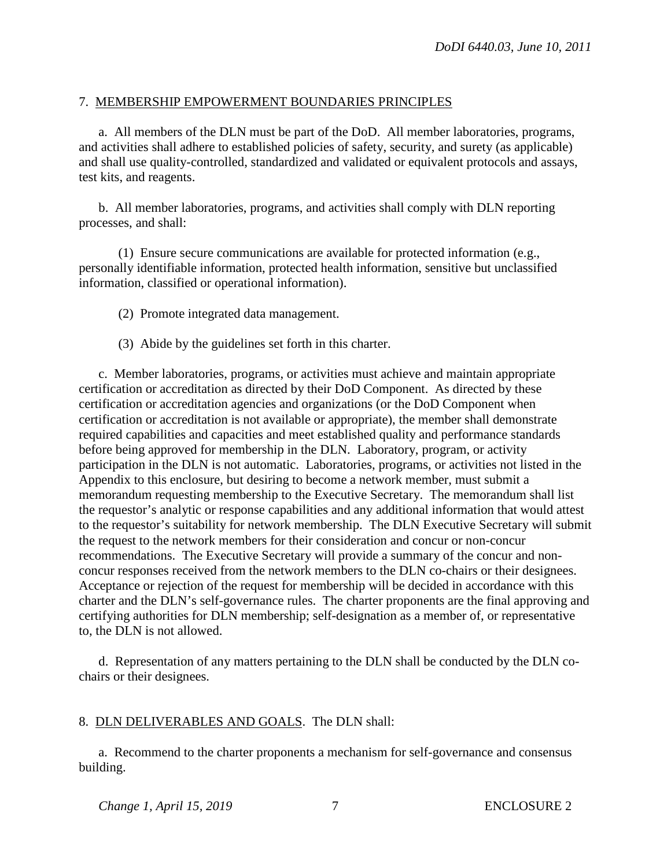# 7. MEMBERSHIP EMPOWERMENT BOUNDARIES PRINCIPLES

a. All members of the DLN must be part of the DoD. All member laboratories, programs, and activities shall adhere to established policies of safety, security, and surety (as applicable) and shall use quality-controlled, standardized and validated or equivalent protocols and assays, test kits, and reagents.

 b. All member laboratories, programs, and activities shall comply with DLN reporting processes, and shall:

 (1) Ensure secure communications are available for protected information (e.g., personally identifiable information, protected health information, sensitive but unclassified information, classified or operational information).

(2) Promote integrated data management.

(3) Abide by the guidelines set forth in this charter.

c. Member laboratories, programs, or activities must achieve and maintain appropriate certification or accreditation as directed by their DoD Component. As directed by these certification or accreditation agencies and organizations (or the DoD Component when certification or accreditation is not available or appropriate), the member shall demonstrate required capabilities and capacities and meet established quality and performance standards before being approved for membership in the DLN. Laboratory, program, or activity participation in the DLN is not automatic. Laboratories, programs, or activities not listed in the Appendix to this enclosure, but desiring to become a network member, must submit a memorandum requesting membership to the Executive Secretary. The memorandum shall list the requestor's analytic or response capabilities and any additional information that would attest to the requestor's suitability for network membership. The DLN Executive Secretary will submit the request to the network members for their consideration and concur or non-concur recommendations. The Executive Secretary will provide a summary of the concur and nonconcur responses received from the network members to the DLN co-chairs or their designees. Acceptance or rejection of the request for membership will be decided in accordance with this charter and the DLN's self-governance rules. The charter proponents are the final approving and certifying authorities for DLN membership; self-designation as a member of, or representative to, the DLN is not allowed.

 d. Representation of any matters pertaining to the DLN shall be conducted by the DLN cochairs or their designees.

# 8. DLN DELIVERABLES AND GOALS. The DLN shall:

a. Recommend to the charter proponents a mechanism for self-governance and consensus building.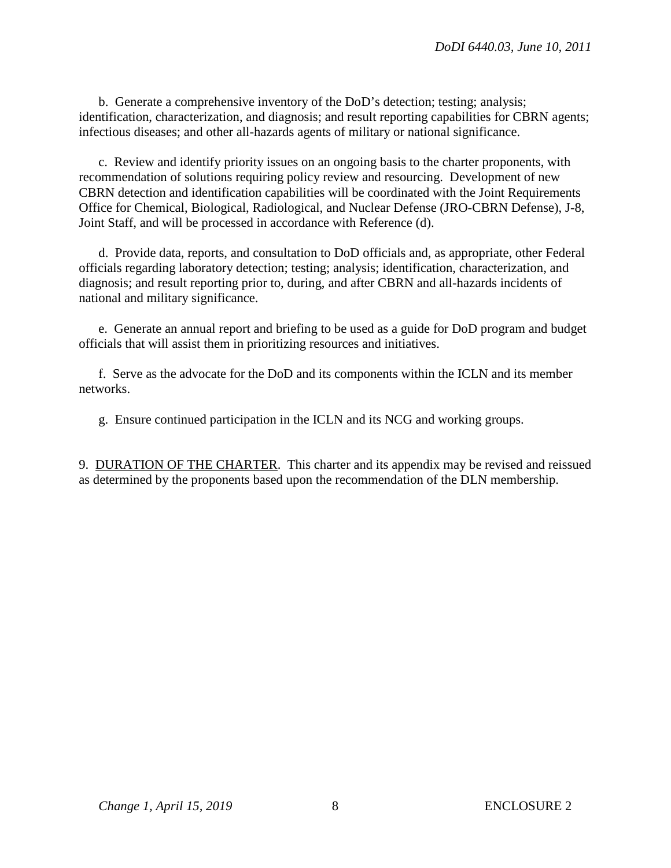b. Generate a comprehensive inventory of the DoD's detection; testing; analysis; identification, characterization, and diagnosis; and result reporting capabilities for CBRN agents; infectious diseases; and other all-hazards agents of military or national significance.

c. Review and identify priority issues on an ongoing basis to the charter proponents, with recommendation of solutions requiring policy review and resourcing. Development of new CBRN detection and identification capabilities will be coordinated with the Joint Requirements Office for Chemical, Biological, Radiological, and Nuclear Defense (JRO-CBRN Defense), J-8, Joint Staff, and will be processed in accordance with Reference (d).

 d. Provide data, reports, and consultation to DoD officials and, as appropriate, other Federal officials regarding laboratory detection; testing; analysis; identification, characterization, and diagnosis; and result reporting prior to, during, and after CBRN and all-hazards incidents of national and military significance.

e. Generate an annual report and briefing to be used as a guide for DoD program and budget officials that will assist them in prioritizing resources and initiatives.

f. Serve as the advocate for the DoD and its components within the ICLN and its member networks.

g. Ensure continued participation in the ICLN and its NCG and working groups.

9. DURATION OF THE CHARTER. This charter and its appendix may be revised and reissued as determined by the proponents based upon the recommendation of the DLN membership.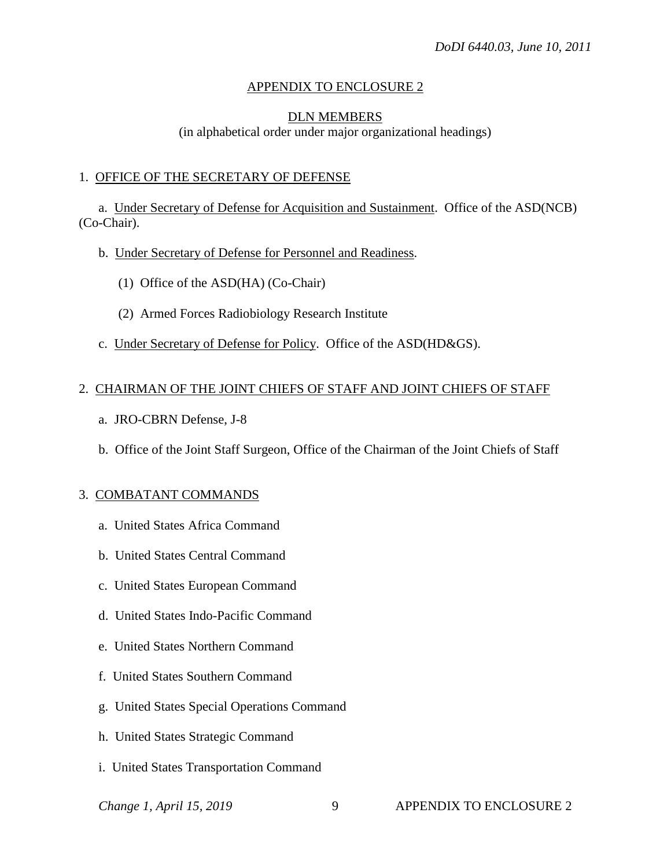## APPENDIX TO ENCLOSURE 2

#### DLN MEMBERS

(in alphabetical order under major organizational headings)

#### 1. OFFICE OF THE SECRETARY OF DEFENSE

a. Under Secretary of Defense for Acquisition and Sustainment. Office of the ASD(NCB) (Co-Chair).

- b. Under Secretary of Defense for Personnel and Readiness.
	- (1) Office of the ASD(HA) (Co-Chair)
	- (2) Armed Forces Radiobiology Research Institute
- c. Under Secretary of Defense for Policy. Office of the ASD(HD&GS).

#### 2. CHAIRMAN OF THE JOINT CHIEFS OF STAFF AND JOINT CHIEFS OF STAFF

- a. JRO-CBRN Defense, J-8
- b. Office of the Joint Staff Surgeon, Office of the Chairman of the Joint Chiefs of Staff

#### 3. COMBATANT COMMANDS

- a. United States Africa Command
- b. United States Central Command
- c. United States European Command
- d. United States Indo-Pacific Command
- e. United States Northern Command
- f. United States Southern Command
- g. United States Special Operations Command
- h. United States Strategic Command
- i. United States Transportation Command
-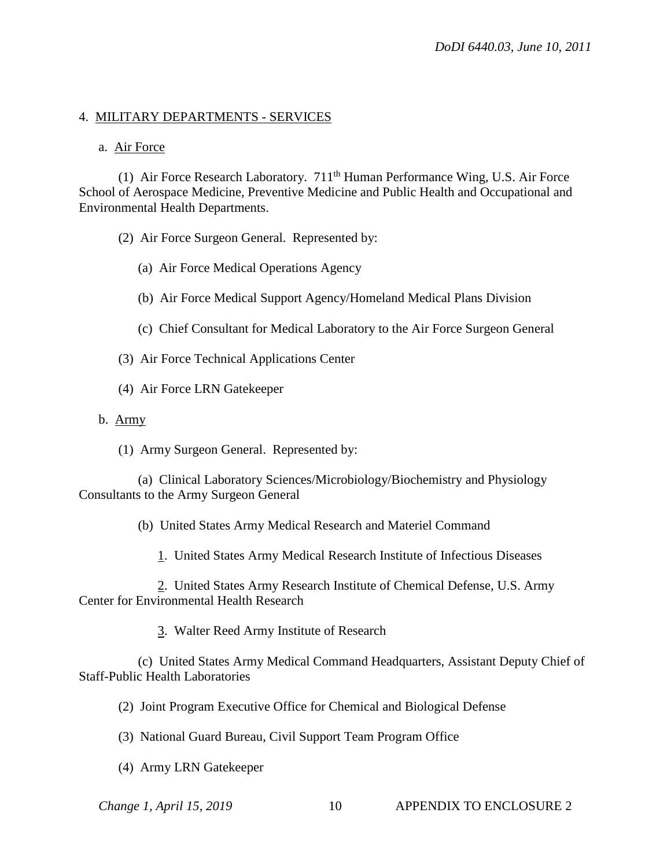## 4. MILITARY DEPARTMENTS - SERVICES

#### a. Air Force

(1) Air Force Research Laboratory. 711<sup>th</sup> Human Performance Wing, U.S. Air Force School of Aerospace Medicine, Preventive Medicine and Public Health and Occupational and Environmental Health Departments.

(2) Air Force Surgeon General. Represented by:

- (a) Air Force Medical Operations Agency
- (b) Air Force Medical Support Agency/Homeland Medical Plans Division
- (c) Chief Consultant for Medical Laboratory to the Air Force Surgeon General
- (3) Air Force Technical Applications Center
- (4) Air Force LRN Gatekeeper
- b. Army
	- (1) Army Surgeon General. Represented by:

 (a) Clinical Laboratory Sciences/Microbiology/Biochemistry and Physiology Consultants to the Army Surgeon General

(b) United States Army Medical Research and Materiel Command

1. United States Army Medical Research Institute of Infectious Diseases

 2. United States Army Research Institute of Chemical Defense, U.S. Army Center for Environmental Health Research

3. Walter Reed Army Institute of Research

 (c) United States Army Medical Command Headquarters, Assistant Deputy Chief of Staff-Public Health Laboratories

(2) Joint Program Executive Office for Chemical and Biological Defense

- (3) National Guard Bureau, Civil Support Team Program Office
- (4) Army LRN Gatekeeper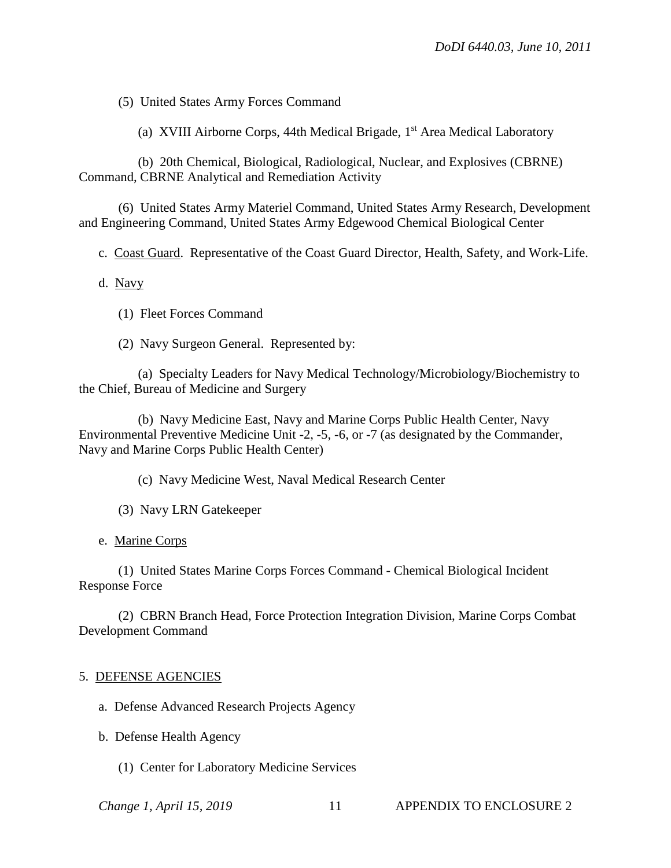(5) United States Army Forces Command

(a) XVIII Airborne Corps, 44th Medical Brigade,  $1<sup>st</sup>$  Area Medical Laboratory

 (b) 20th Chemical, Biological, Radiological, Nuclear, and Explosives (CBRNE) Command, CBRNE Analytical and Remediation Activity

 (6) United States Army Materiel Command, United States Army Research, Development and Engineering Command, United States Army Edgewood Chemical Biological Center

c. Coast Guard. Representative of the Coast Guard Director, Health, Safety, and Work-Life.

d. Navy

(1) Fleet Forces Command

(2) Navy Surgeon General. Represented by:

 (a) Specialty Leaders for Navy Medical Technology/Microbiology/Biochemistry to the Chief, Bureau of Medicine and Surgery

 (b) Navy Medicine East, Navy and Marine Corps Public Health Center, Navy Environmental Preventive Medicine Unit -2, -5, -6, or -7 (as designated by the Commander, Navy and Marine Corps Public Health Center)

(c) Navy Medicine West, Naval Medical Research Center

(3) Navy LRN Gatekeeper

e. Marine Corps

 (1) United States Marine Corps Forces Command - Chemical Biological Incident Response Force

 (2) CBRN Branch Head, Force Protection Integration Division, Marine Corps Combat Development Command

#### 5. DEFENSE AGENCIES

a. Defense Advanced Research Projects Agency

- b. Defense Health Agency
	- (1) Center for Laboratory Medicine Services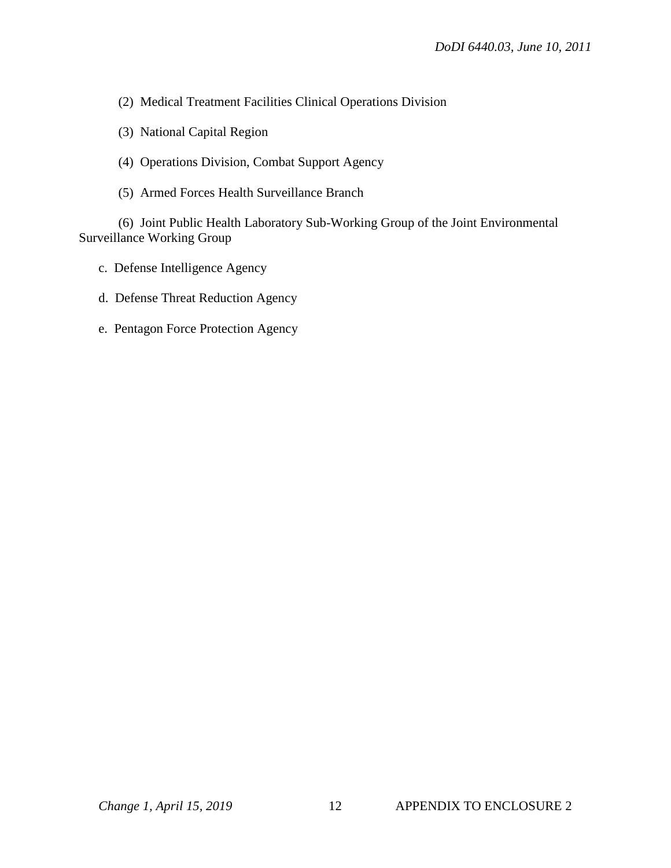- (2) Medical Treatment Facilities Clinical Operations Division
- (3) National Capital Region
- (4) Operations Division, Combat Support Agency
- (5) Armed Forces Health Surveillance Branch

 (6) Joint Public Health Laboratory Sub-Working Group of the Joint Environmental Surveillance Working Group

- c. Defense Intelligence Agency
- d. Defense Threat Reduction Agency
- e. Pentagon Force Protection Agency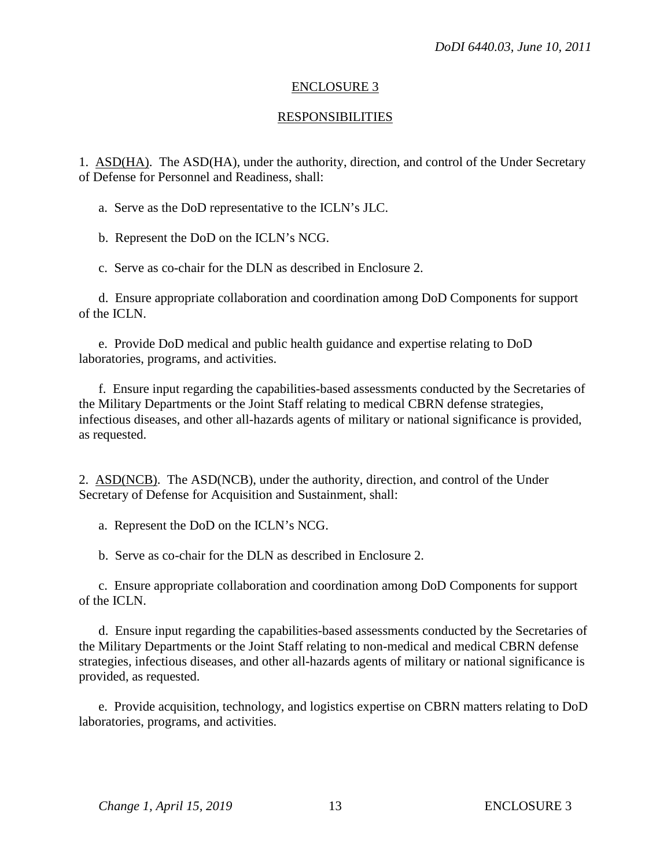## ENCLOSURE 3

## RESPONSIBILITIES

1. ASD(HA). The ASD(HA), under the authority, direction, and control of the Under Secretary of Defense for Personnel and Readiness, shall:

a. Serve as the DoD representative to the ICLN's JLC.

b. Represent the DoD on the ICLN's NCG.

c. Serve as co-chair for the DLN as described in Enclosure 2.

 d. Ensure appropriate collaboration and coordination among DoD Components for support of the ICLN.

 e. Provide DoD medical and public health guidance and expertise relating to DoD laboratories, programs, and activities.

 f. Ensure input regarding the capabilities-based assessments conducted by the Secretaries of the Military Departments or the Joint Staff relating to medical CBRN defense strategies, infectious diseases, and other all-hazards agents of military or national significance is provided, as requested.

2. ASD(NCB). The ASD(NCB), under the authority, direction, and control of the Under Secretary of Defense for Acquisition and Sustainment, shall:

a. Represent the DoD on the ICLN's NCG.

b. Serve as co-chair for the DLN as described in Enclosure 2.

 c. Ensure appropriate collaboration and coordination among DoD Components for support of the ICLN.

 d. Ensure input regarding the capabilities-based assessments conducted by the Secretaries of the Military Departments or the Joint Staff relating to non-medical and medical CBRN defense strategies, infectious diseases, and other all-hazards agents of military or national significance is provided, as requested.

 e. Provide acquisition, technology, and logistics expertise on CBRN matters relating to DoD laboratories, programs, and activities.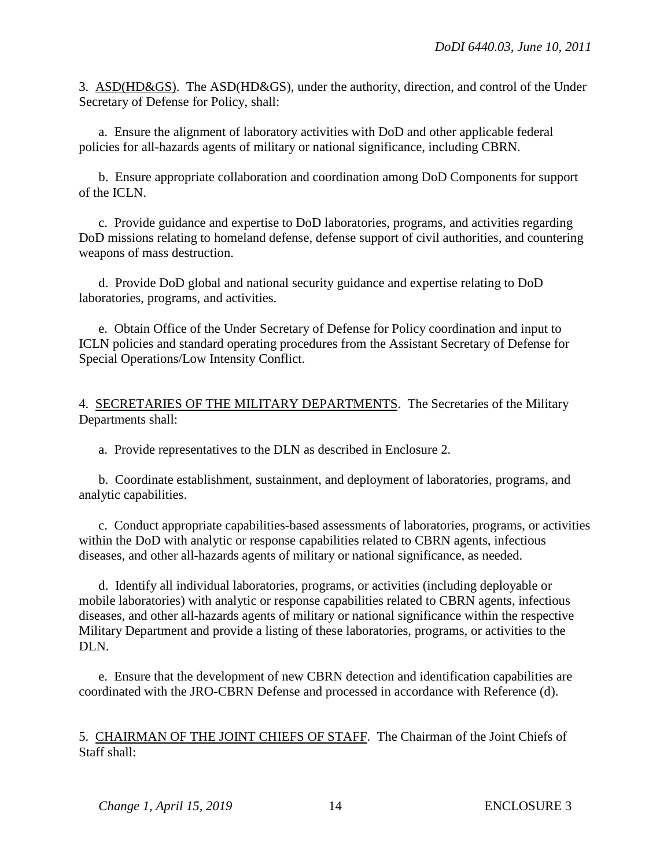3. ASD(HD&GS). The ASD(HD&GS), under the authority, direction, and control of the Under Secretary of Defense for Policy, shall:

a. Ensure the alignment of laboratory activities with DoD and other applicable federal policies for all-hazards agents of military or national significance, including CBRN.

 b. Ensure appropriate collaboration and coordination among DoD Components for support of the ICLN.

 c. Provide guidance and expertise to DoD laboratories, programs, and activities regarding DoD missions relating to homeland defense, defense support of civil authorities, and countering weapons of mass destruction.

 d. Provide DoD global and national security guidance and expertise relating to DoD laboratories, programs, and activities.

 e. Obtain Office of the Under Secretary of Defense for Policy coordination and input to ICLN policies and standard operating procedures from the Assistant Secretary of Defense for Special Operations/Low Intensity Conflict.

4. SECRETARIES OF THE MILITARY DEPARTMENTS. The Secretaries of the Military Departments shall:

a. Provide representatives to the DLN as described in Enclosure 2.

 b. Coordinate establishment, sustainment, and deployment of laboratories, programs, and analytic capabilities.

 c. Conduct appropriate capabilities-based assessments of laboratories, programs, or activities within the DoD with analytic or response capabilities related to CBRN agents, infectious diseases, and other all-hazards agents of military or national significance, as needed.

d. Identify all individual laboratories, programs, or activities (including deployable or mobile laboratories) with analytic or response capabilities related to CBRN agents, infectious diseases, and other all-hazards agents of military or national significance within the respective Military Department and provide a listing of these laboratories, programs, or activities to the DLN.

 e. Ensure that the development of new CBRN detection and identification capabilities are coordinated with the JRO-CBRN Defense and processed in accordance with Reference (d).

5. CHAIRMAN OF THE JOINT CHIEFS OF STAFF. The Chairman of the Joint Chiefs of Staff shall: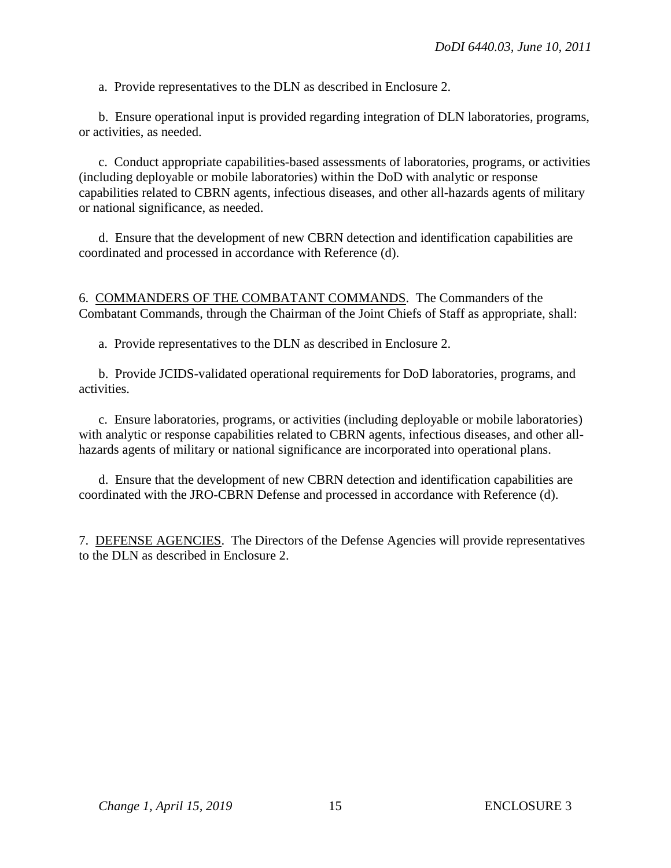a. Provide representatives to the DLN as described in Enclosure 2.

 b. Ensure operational input is provided regarding integration of DLN laboratories, programs, or activities, as needed.

 c. Conduct appropriate capabilities-based assessments of laboratories, programs, or activities (including deployable or mobile laboratories) within the DoD with analytic or response capabilities related to CBRN agents, infectious diseases, and other all-hazards agents of military or national significance, as needed.

 d. Ensure that the development of new CBRN detection and identification capabilities are coordinated and processed in accordance with Reference (d).

6. COMMANDERS OF THE COMBATANT COMMANDS. The Commanders of the Combatant Commands, through the Chairman of the Joint Chiefs of Staff as appropriate, shall:

a. Provide representatives to the DLN as described in Enclosure 2.

 b. Provide JCIDS-validated operational requirements for DoD laboratories, programs, and activities.

 c. Ensure laboratories, programs, or activities (including deployable or mobile laboratories) with analytic or response capabilities related to CBRN agents, infectious diseases, and other allhazards agents of military or national significance are incorporated into operational plans.

 d. Ensure that the development of new CBRN detection and identification capabilities are coordinated with the JRO-CBRN Defense and processed in accordance with Reference (d).

7. DEFENSE AGENCIES. The Directors of the Defense Agencies will provide representatives to the DLN as described in Enclosure 2.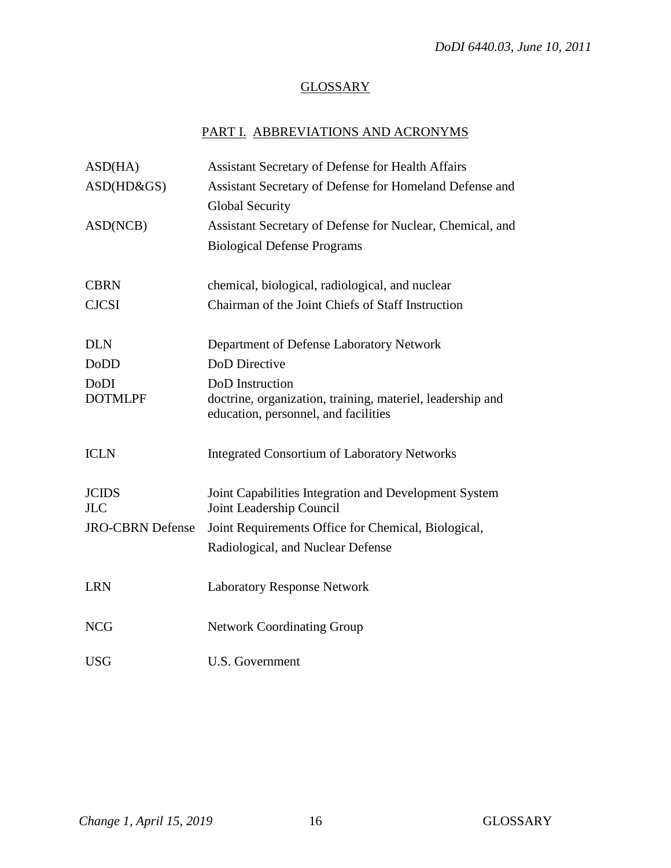# **GLOSSARY**

# PART I. ABBREVIATIONS AND ACRONYMS

| ASD(HA)                 | <b>Assistant Secretary of Defense for Health Affairs</b>                                           |
|-------------------------|----------------------------------------------------------------------------------------------------|
| ASD(HD&GS)              | Assistant Secretary of Defense for Homeland Defense and                                            |
|                         | <b>Global Security</b>                                                                             |
| ASD(NCB)                | Assistant Secretary of Defense for Nuclear, Chemical, and                                          |
|                         | <b>Biological Defense Programs</b>                                                                 |
|                         |                                                                                                    |
| <b>CBRN</b>             | chemical, biological, radiological, and nuclear                                                    |
| <b>CJCSI</b>            | Chairman of the Joint Chiefs of Staff Instruction                                                  |
| <b>DLN</b>              | Department of Defense Laboratory Network                                                           |
|                         |                                                                                                    |
| <b>DoDD</b>             | <b>DoD</b> Directive                                                                               |
| DoDI                    | DoD Instruction                                                                                    |
| <b>DOTMLPF</b>          | doctrine, organization, training, materiel, leadership and<br>education, personnel, and facilities |
|                         |                                                                                                    |
| <b>ICLN</b>             | <b>Integrated Consortium of Laboratory Networks</b>                                                |
|                         |                                                                                                    |
| <b>JCIDS</b>            | Joint Capabilities Integration and Development System                                              |
| <b>JLC</b>              | Joint Leadership Council                                                                           |
| <b>JRO-CBRN Defense</b> | Joint Requirements Office for Chemical, Biological,                                                |
|                         | Radiological, and Nuclear Defense                                                                  |
|                         |                                                                                                    |
| <b>LRN</b>              | <b>Laboratory Response Network</b>                                                                 |
| <b>NCG</b>              |                                                                                                    |
|                         | <b>Network Coordinating Group</b>                                                                  |
| <b>USG</b>              | <b>U.S. Government</b>                                                                             |